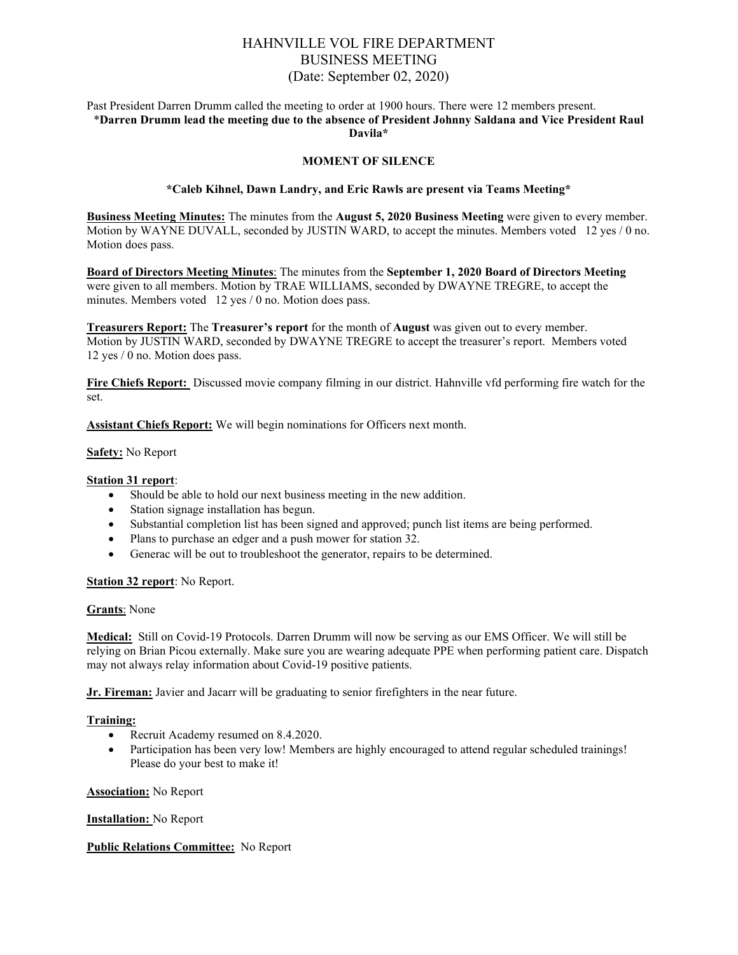# HAHNVILLE VOL FIRE DEPARTMENT BUSINESS MEETING (Date: September 02, 2020)

#### Past President Darren Drumm called the meeting to order at 1900 hours. There were 12 members present. \***Darren Drumm lead the meeting due to the absence of President Johnny Saldana and Vice President Raul Davila\***

### **MOMENT OF SILENCE**

#### **\*Caleb Kihnel, Dawn Landry, and Eric Rawls are present via Teams Meeting\***

**Business Meeting Minutes:** The minutes from the **August 5, 2020 Business Meeting** were given to every member. Motion by WAYNE DUVALL, seconded by JUSTIN WARD, to accept the minutes. Members voted 12 yes / 0 no. Motion does pass.

**Board of Directors Meeting Minutes**: The minutes from the **September 1, 2020 Board of Directors Meeting** were given to all members. Motion by TRAE WILLIAMS, seconded by DWAYNE TREGRE, to accept the minutes. Members voted 12 yes / 0 no. Motion does pass.

**Treasurers Report:** The **Treasurer's report** for the month of **August** was given out to every member. Motion by JUSTIN WARD, seconded by DWAYNE TREGRE to accept the treasurer's report. Members voted 12 yes / 0 no. Motion does pass.

**Fire Chiefs Report:** Discussed movie company filming in our district. Hahnville vfd performing fire watch for the set.

**Assistant Chiefs Report:** We will begin nominations for Officers next month.

#### **Safety:** No Report

#### **Station 31 report**:

- Should be able to hold our next business meeting in the new addition.
- Station signage installation has begun.
- Substantial completion list has been signed and approved; punch list items are being performed.
- Plans to purchase an edger and a push mower for station 32.
- Generac will be out to troubleshoot the generator, repairs to be determined.

#### **Station 32 report**: No Report.

#### **Grants**: None

**Medical:** Still on Covid-19 Protocols. Darren Drumm will now be serving as our EMS Officer. We will still be relying on Brian Picou externally. Make sure you are wearing adequate PPE when performing patient care. Dispatch may not always relay information about Covid-19 positive patients.

**Jr. Fireman:** Javier and Jacarr will be graduating to senior firefighters in the near future.

#### **Training:**

- Recruit Academy resumed on 8.4.2020.
- Participation has been very low! Members are highly encouraged to attend regular scheduled trainings! Please do your best to make it!

#### **Association:** No Report

#### **Installation:** No Report

#### **Public Relations Committee:** No Report